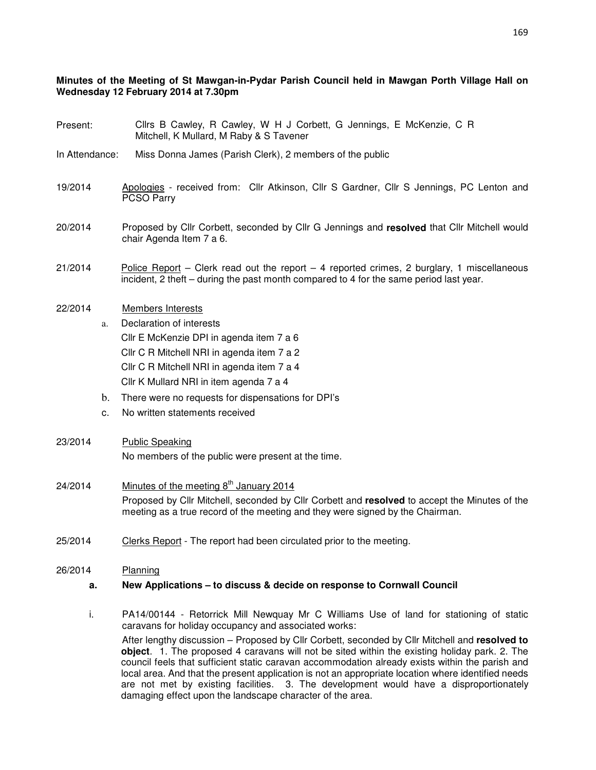#### **Minutes of the Meeting of St Mawgan-in-Pydar Parish Council held in Mawgan Porth Village Hall on Wednesday 12 February 2014 at 7.30pm**

- Present: Cllrs B Cawley, R Cawley, W H J Corbett, G Jennings, E McKenzie, C R Mitchell, K Mullard, M Raby & S Tavener
- In Attendance: Miss Donna James (Parish Clerk), 2 members of the public
- 19/2014 Apologies received from: Cllr Atkinson, Cllr S Gardner, Cllr S Jennings, PC Lenton and PCSO Parry
- 20/2014 Proposed by Cllr Corbett, seconded by Cllr G Jennings and **resolved** that Cllr Mitchell would chair Agenda Item 7 a 6.
- $21/2014$  Police Report Clerk read out the report 4 reported crimes, 2 burglary, 1 miscellaneous incident, 2 theft – during the past month compared to 4 for the same period last year.
- 22/2014 Members Interests
	- a. Declaration of interests Cllr E McKenzie DPI in agenda item 7 a 6 Cllr C R Mitchell NRI in agenda item 7 a 2 Cllr C R Mitchell NRI in agenda item 7 a 4 Cllr K Mullard NRI in item agenda 7 a 4
	- b. There were no requests for dispensations for DPI's
	- c. No written statements received
- 23/2014 Public Speaking No members of the public were present at the time.
- 24/2014 Minutes of the meeting  $8<sup>th</sup>$  January 2014 Proposed by Cllr Mitchell, seconded by Cllr Corbett and **resolved** to accept the Minutes of the meeting as a true record of the meeting and they were signed by the Chairman.
- 25/2014 Clerks Report The report had been circulated prior to the meeting.

# 26/2014 Planning

#### **a. New Applications – to discuss & decide on response to Cornwall Council**

i. PA14/00144 - Retorrick Mill Newquay Mr C Williams Use of land for stationing of static caravans for holiday occupancy and associated works:

After lengthy discussion – Proposed by Cllr Corbett, seconded by Cllr Mitchell and **resolved to object**. 1. The proposed 4 caravans will not be sited within the existing holiday park. 2. The council feels that sufficient static caravan accommodation already exists within the parish and local area. And that the present application is not an appropriate location where identified needs are not met by existing facilities. 3. The development would have a disproportionately damaging effect upon the landscape character of the area.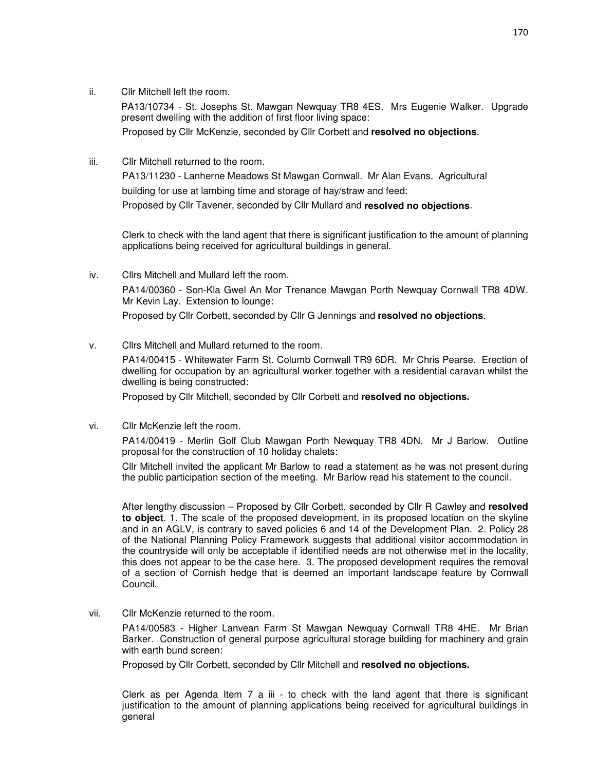ii. Cllr Mitchell left the room.

PA13/10734 - St. Josephs St. Mawgan Newquay TR8 4ES. Mrs Eugenie Walker. Upgrade present dwelling with the addition of first floor living space:

Proposed by Cllr McKenzie, seconded by Cllr Corbett and **resolved no objections**.

iii. Cllr Mitchell returned to the room.

PA13/11230 - Lanherne Meadows St Mawgan Cornwall. Mr Alan Evans. Agricultural building for use at lambing time and storage of hay/straw and feed:

Proposed by Cllr Tavener, seconded by Cllr Mullard and **resolved no objections**.

Clerk to check with the land agent that there is significant justification to the amount of planning applications being received for agricultural buildings in general.

- iv. Cllrs Mitchell and Mullard left the room. PA14/00360 - Son-Kla Gwel An Mor Trenance Mawgan Porth Newquay Cornwall TR8 4DW. Mr Kevin Lay. Extension to lounge: Proposed by Cllr Corbett, seconded by Cllr G Jennings and **resolved no objections**.
- v. Cllrs Mitchell and Mullard returned to the room.

PA14/00415 - Whitewater Farm St. Columb Cornwall TR9 6DR. Mr Chris Pearse. Erection of dwelling for occupation by an agricultural worker together with a residential caravan whilst the dwelling is being constructed:

Proposed by Cllr Mitchell, seconded by Cllr Corbett and **resolved no objections.** 

vi. Cllr McKenzie left the room.

PA14/00419 - Merlin Golf Club Mawgan Porth Newquay TR8 4DN. Mr J Barlow. Outline proposal for the construction of 10 holiday chalets:

Cllr Mitchell invited the applicant Mr Barlow to read a statement as he was not present during the public participation section of the meeting. Mr Barlow read his statement to the council.

After lengthy discussion – Proposed by Cllr Corbett, seconded by Cllr R Cawley and **resolved to object**. 1. The scale of the proposed development, in its proposed location on the skyline and in an AGLV, is contrary to saved policies 6 and 14 of the Development Plan. 2. Policy 28 of the National Planning Policy Framework suggests that additional visitor accommodation in the countryside will only be acceptable if identified needs are not otherwise met in the locality, this does not appear to be the case here. 3. The proposed development requires the removal of a section of Cornish hedge that is deemed an important landscape feature by Cornwall Council.

vii. Cllr McKenzie returned to the room.

PA14/00583 - Higher Lanvean Farm St Mawgan Newquay Cornwall TR8 4HE. Mr Brian Barker. Construction of general purpose agricultural storage building for machinery and grain with earth bund screen:

Proposed by Cllr Corbett, seconded by Cllr Mitchell and **resolved no objections.** 

Clerk as per Agenda Item 7 a iii - to check with the land agent that there is significant justification to the amount of planning applications being received for agricultural buildings in general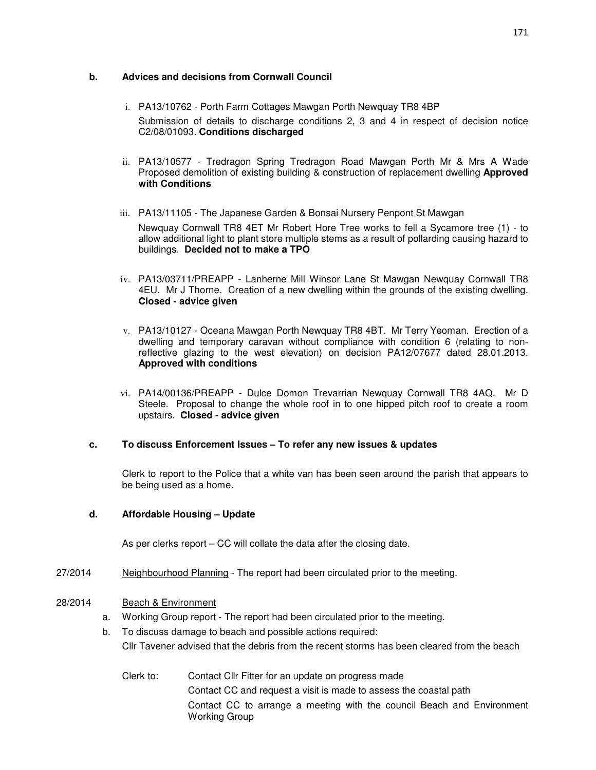#### **b. Advices and decisions from Cornwall Council**

- i. PA13/10762 Porth Farm Cottages Mawgan Porth Newquay TR8 4BP Submission of details to discharge conditions 2, 3 and 4 in respect of decision notice C2/08/01093. **Conditions discharged**
- ii. PA13/10577 Tredragon Spring Tredragon Road Mawgan Porth Mr & Mrs A Wade Proposed demolition of existing building & construction of replacement dwelling **Approved with Conditions**
- iii. PA13/11105 The Japanese Garden & Bonsai Nursery Penpont St Mawgan Newquay Cornwall TR8 4ET Mr Robert Hore Tree works to fell a Sycamore tree (1) - to allow additional light to plant store multiple stems as a result of pollarding causing hazard to buildings. **Decided not to make a TPO**
- iv. PA13/03711/PREAPP Lanherne Mill Winsor Lane St Mawgan Newquay Cornwall TR8 4EU. Mr J Thorne. Creation of a new dwelling within the grounds of the existing dwelling. **Closed - advice given**
- v. PA13/10127 Oceana Mawgan Porth Newquay TR8 4BT. Mr Terry Yeoman. Erection of a dwelling and temporary caravan without compliance with condition 6 (relating to nonreflective glazing to the west elevation) on decision PA12/07677 dated 28.01.2013. **Approved with conditions**
- vi. PA14/00136/PREAPP Dulce Domon Trevarrian Newquay Cornwall TR8 4AQ. Mr D Steele. Proposal to change the whole roof in to one hipped pitch roof to create a room upstairs. **Closed - advice given**

#### **c. To discuss Enforcement Issues – To refer any new issues & updates**

Clerk to report to the Police that a white van has been seen around the parish that appears to be being used as a home.

#### **d. Affordable Housing – Update**

As per clerks report – CC will collate the data after the closing date.

27/2014 Neighbourhood Planning - The report had been circulated prior to the meeting.

#### 28/2014 Beach & Environment

- a. Working Group report The report had been circulated prior to the meeting.
- b. To discuss damage to beach and possible actions required: Cllr Tavener advised that the debris from the recent storms has been cleared from the beach
	- Clerk to: Contact Cllr Fitter for an update on progress made Contact CC and request a visit is made to assess the coastal path Contact CC to arrange a meeting with the council Beach and Environment Working Group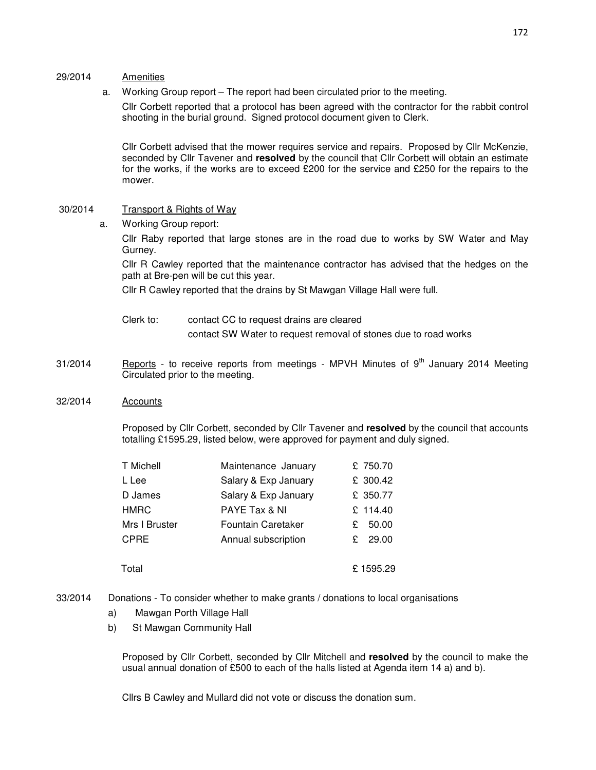#### 29/2014 Amenities

a. Working Group report – The report had been circulated prior to the meeting.

Cllr Corbett reported that a protocol has been agreed with the contractor for the rabbit control shooting in the burial ground. Signed protocol document given to Clerk.

Cllr Corbett advised that the mower requires service and repairs. Proposed by Cllr McKenzie, seconded by Cllr Tavener and **resolved** by the council that Cllr Corbett will obtain an estimate for the works, if the works are to exceed £200 for the service and £250 for the repairs to the mower.

#### 30/2014 Transport & Rights of Way

a. Working Group report:

Cllr Raby reported that large stones are in the road due to works by SW Water and May Gurney.

Cllr R Cawley reported that the maintenance contractor has advised that the hedges on the path at Bre-pen will be cut this year.

Cllr R Cawley reported that the drains by St Mawgan Village Hall were full.

- Clerk to: contact CC to request drains are cleared contact SW Water to request removal of stones due to road works
- $31/2014$  Reports to receive reports from meetings MPVH Minutes of  $9<sup>th</sup>$  January 2014 Meeting Circulated prior to the meeting.

#### 32/2014 Accounts

Proposed by Cllr Corbett, seconded by Cllr Tavener and **resolved** by the council that accounts totalling £1595.29, listed below, were approved for payment and duly signed.

| T Michell     | Maintenance January       | £ 750.70   |
|---------------|---------------------------|------------|
| L Lee         | Salary & Exp January      | £ 300.42   |
| D James       | Salary & Exp January      | £ 350.77   |
| <b>HMRC</b>   | PAYE Tax & NI             | £ 114.40   |
| Mrs I Bruster | <b>Fountain Caretaker</b> | 50.00<br>£ |
| <b>CPRE</b>   | Annual subscription       | 29.00<br>£ |
| Total         |                           | £1595.29   |

- 33/2014 Donations To consider whether to make grants / donations to local organisations
	- a) Mawgan Porth Village Hall
	- b) St Mawgan Community Hall

Proposed by Cllr Corbett, seconded by Cllr Mitchell and **resolved** by the council to make the usual annual donation of £500 to each of the halls listed at Agenda item 14 a) and b).

Cllrs B Cawley and Mullard did not vote or discuss the donation sum.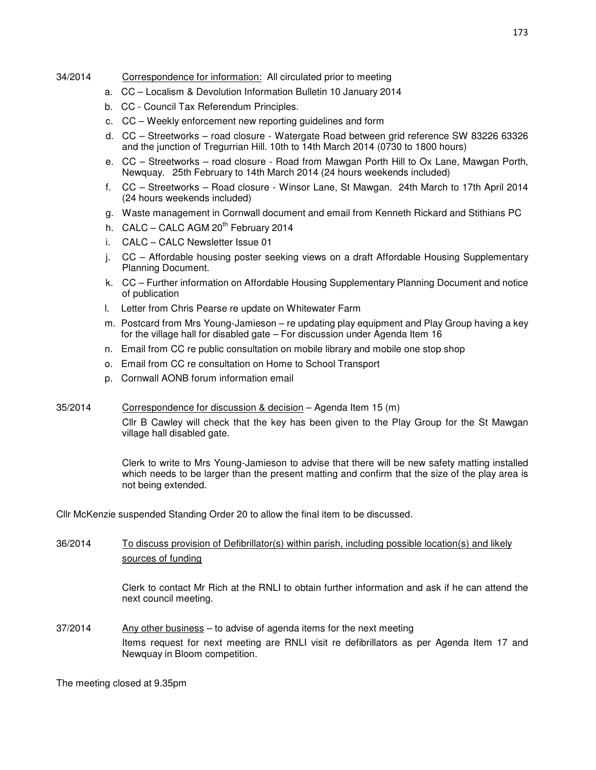#### 34/2014 Correspondence for information: All circulated prior to meeting

- a. CC Localism & Devolution Information Bulletin 10 January 2014
- b. CC Council Tax Referendum Principles.
- c. CC Weekly enforcement new reporting guidelines and form
- d. CC Streetworks road closure Watergate Road between grid reference SW 83226 63326 and the junction of Tregurrian Hill. 10th to 14th March 2014 (0730 to 1800 hours)
- e. CC Streetworks road closure Road from Mawgan Porth Hill to Ox Lane, Mawgan Porth, Newquay. 25th February to 14th March 2014 (24 hours weekends included)
- f. CC Streetworks Road closure Winsor Lane, St Mawgan. 24th March to 17th April 2014 (24 hours weekends included)
- g. Waste management in Cornwall document and email from Kenneth Rickard and Stithians PC
- h. CALC CALC AGM  $20^{th}$  February 2014
- i. CALC CALC Newsletter Issue 01
- j. CC Affordable housing poster seeking views on a draft Affordable Housing Supplementary Planning Document.
- k. CC Further information on Affordable Housing Supplementary Planning Document and notice of publication
- l. Letter from Chris Pearse re update on Whitewater Farm
- m. Postcard from Mrs Young-Jamieson re updating play equipment and Play Group having a key for the village hall for disabled gate – For discussion under Agenda Item 16
- n. Email from CC re public consultation on mobile library and mobile one stop shop
- o. Email from CC re consultation on Home to School Transport
- p. Cornwall AONB forum information email

#### 35/2014 Correspondence for discussion & decision – Agenda Item 15 (m)

Cllr B Cawley will check that the key has been given to the Play Group for the St Mawgan village hall disabled gate.

Clerk to write to Mrs Young-Jamieson to advise that there will be new safety matting installed which needs to be larger than the present matting and confirm that the size of the play area is not being extended.

Cllr McKenzie suspended Standing Order 20 to allow the final item to be discussed.

### 36/2014 To discuss provision of Defibrillator(s) within parish, including possible location(s) and likely sources of funding

Clerk to contact Mr Rich at the RNLI to obtain further information and ask if he can attend the next council meeting.

37/2014 Any other business – to advise of agenda items for the next meeting Items request for next meeting are RNLI visit re defibrillators as per Agenda Item 17 and Newquay in Bloom competition.

#### The meeting closed at 9.35pm